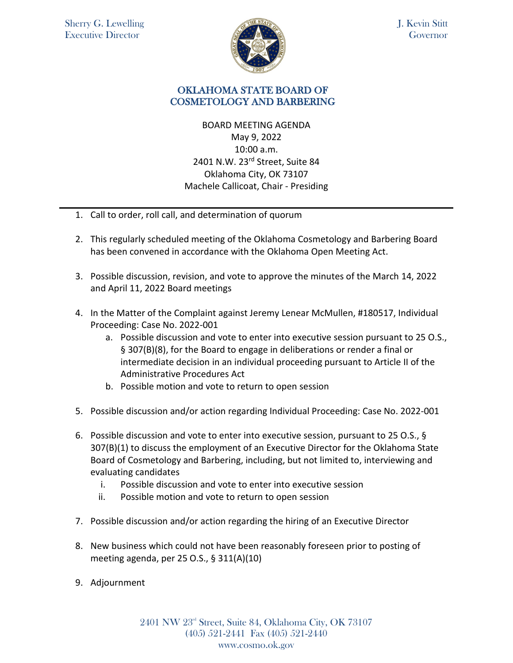

J. Kevin Stitt **Governor** 

## OKLAHOMA STATE BOARD OF COSMETOLOGY AND BARBERING

BOARD MEETING AGENDA May 9, 2022 10:00 a.m. 2401 N.W. 23rd Street, Suite 84 Oklahoma City, OK 73107 Machele Callicoat, Chair - Presiding

- 1. Call to order, roll call, and determination of quorum
- 2. This regularly scheduled meeting of the Oklahoma Cosmetology and Barbering Board has been convened in accordance with the Oklahoma Open Meeting Act.
- 3. Possible discussion, revision, and vote to approve the minutes of the March 14, 2022 and April 11, 2022 Board meetings
- 4. In the Matter of the Complaint against Jeremy Lenear McMullen, #180517, Individual Proceeding: Case No. 2022-001
	- a. Possible discussion and vote to enter into executive session pursuant to 25 O.S., § 307(B)(8), for the Board to engage in deliberations or render a final or intermediate decision in an individual proceeding pursuant to Article II of the Administrative Procedures Act
	- b. Possible motion and vote to return to open session
- 5. Possible discussion and/or action regarding Individual Proceeding: Case No. 2022-001
- 6. Possible discussion and vote to enter into executive session, pursuant to 25 O.S., § 307(B)(1) to discuss the employment of an Executive Director for the Oklahoma State Board of Cosmetology and Barbering, including, but not limited to, interviewing and evaluating candidates
	- i. Possible discussion and vote to enter into executive session
	- ii. Possible motion and vote to return to open session
- 7. Possible discussion and/or action regarding the hiring of an Executive Director
- 8. New business which could not have been reasonably foreseen prior to posting of meeting agenda, per 25 O.S., § 311(A)(10)
- 9. Adjournment